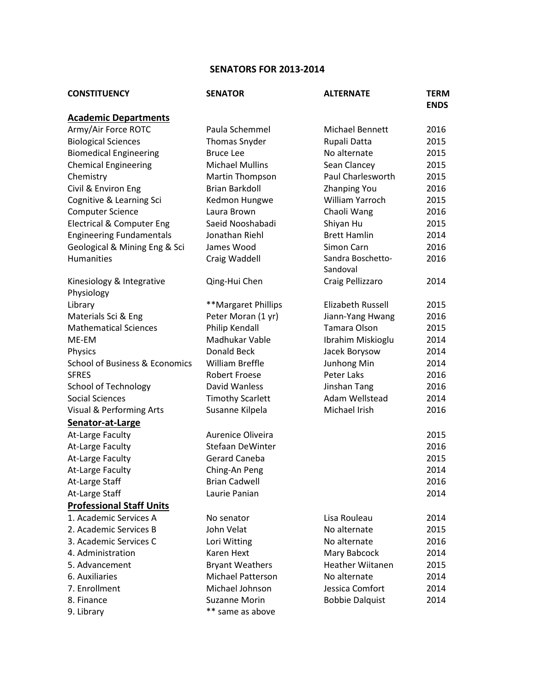## **SENATORS FOR 2013-2014**

| <b>CONSTITUENCY</b>                       | <b>SENATOR</b>           | <b>ALTERNATE</b>              | <b>TERM</b><br><b>ENDS</b> |
|-------------------------------------------|--------------------------|-------------------------------|----------------------------|
| <b>Academic Departments</b>               |                          |                               |                            |
| Army/Air Force ROTC                       | Paula Schemmel           | <b>Michael Bennett</b>        | 2016                       |
| <b>Biological Sciences</b>                | <b>Thomas Snyder</b>     | Rupali Datta                  | 2015                       |
| <b>Biomedical Engineering</b>             | <b>Bruce Lee</b>         | No alternate                  | 2015                       |
| <b>Chemical Engineering</b>               | <b>Michael Mullins</b>   | Sean Clancey                  | 2015                       |
| Chemistry                                 | <b>Martin Thompson</b>   | Paul Charlesworth             | 2015                       |
| Civil & Environ Eng                       | <b>Brian Barkdoll</b>    | <b>Zhanping You</b>           | 2016                       |
| Cognitive & Learning Sci                  | Kedmon Hungwe            | William Yarroch               | 2015                       |
| <b>Computer Science</b>                   | Laura Brown              | Chaoli Wang                   | 2016                       |
| <b>Electrical &amp; Computer Eng</b>      | Saeid Nooshabadi         | Shiyan Hu                     | 2015                       |
| <b>Engineering Fundamentals</b>           | Jonathan Riehl           | <b>Brett Hamlin</b>           | 2014                       |
| Geological & Mining Eng & Sci             | James Wood               | Simon Carn                    | 2016                       |
| <b>Humanities</b>                         | Craig Waddell            | Sandra Boschetto-<br>Sandoval | 2016                       |
| Kinesiology & Integrative<br>Physiology   | Qing-Hui Chen            | Craig Pellizzaro              | 2014                       |
| Library                                   | **Margaret Phillips      | Elizabeth Russell             | 2015                       |
| Materials Sci & Eng                       | Peter Moran (1 yr)       | Jiann-Yang Hwang              | 2016                       |
| <b>Mathematical Sciences</b>              | Philip Kendall           | Tamara Olson                  | 2015                       |
| ME-EM                                     | Madhukar Vable           | Ibrahim Miskioglu             | 2014                       |
| Physics                                   | Donald Beck              | Jacek Borysow                 | 2014                       |
| <b>School of Business &amp; Economics</b> | William Breffle          | Junhong Min                   | 2014                       |
| <b>SFRES</b>                              | <b>Robert Froese</b>     | Peter Laks                    | 2016                       |
| <b>School of Technology</b>               | David Wanless            | Jinshan Tang                  | 2016                       |
| Social Sciences                           | <b>Timothy Scarlett</b>  | Adam Wellstead                | 2014                       |
| Visual & Performing Arts                  | Susanne Kilpela          | Michael Irish                 | 2016                       |
| Senator-at-Large                          |                          |                               |                            |
| At-Large Faculty                          | Aurenice Oliveira        |                               | 2015                       |
| At-Large Faculty                          | <b>Stefaan DeWinter</b>  |                               | 2016                       |
| At-Large Faculty                          | Gerard Caneba            |                               | 2015                       |
| At-Large Faculty                          | Ching-An Peng            |                               | 2014                       |
| At-Large Staff                            | <b>Brian Cadwell</b>     |                               | 2016                       |
| At-Large Staff                            | Laurie Panian            |                               | 2014                       |
| <b>Professional Staff Units</b>           |                          |                               |                            |
| 1. Academic Services A                    | No senator               | Lisa Rouleau                  | 2014                       |
| 2. Academic Services B                    | John Velat               | No alternate                  | 2015                       |
| 3. Academic Services C                    | Lori Witting             | No alternate                  | 2016                       |
| 4. Administration                         | Karen Hext               | Mary Babcock                  | 2014                       |
| 5. Advancement                            | <b>Bryant Weathers</b>   | <b>Heather Wiitanen</b>       | 2015                       |
| 6. Auxiliaries                            | <b>Michael Patterson</b> | No alternate                  | 2014                       |
| 7. Enrollment                             | Michael Johnson          | Jessica Comfort               | 2014                       |
| 8. Finance                                | <b>Suzanne Morin</b>     | <b>Bobbie Dalquist</b>        | 2014                       |
| 9. Library                                | ** same as above         |                               |                            |